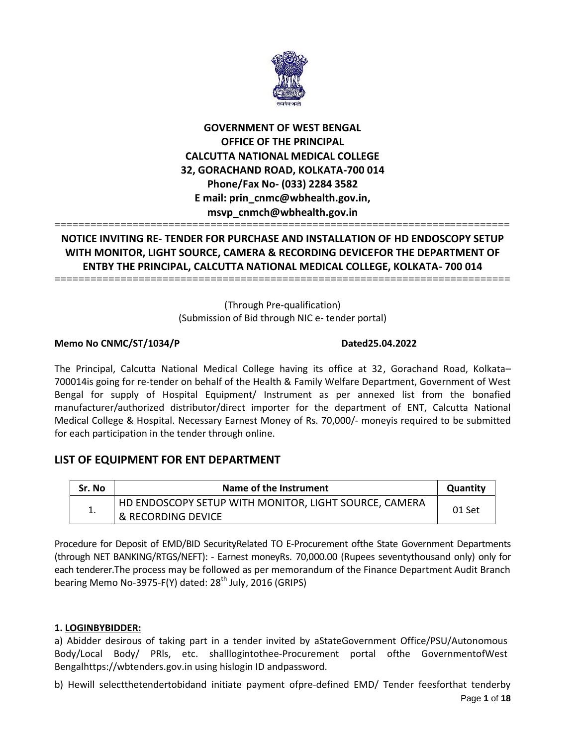

# **GOVERNMENT OF WEST BENGAL OFFICE OF THE PRINCIPAL CALCUTTA NATIONAL MEDICAL COLLEGE 32, GORACHAND ROAD, KOLKATA-700 014 Phone/Fax No- (033) 2284 3582 E mail: prin\_cnmc@wbhealth.gov.in, msvp\_cnmch@wbhealth.gov.in**

# **NOTICE INVITING RE- TENDER FOR PURCHASE AND INSTALLATION OF HD ENDOSCOPY SETUP WITH MONITOR, LIGHT SOURCE, CAMERA & RECORDING DEVICEFOR THE DEPARTMENT OF ENTBY THE PRINCIPAL, CALCUTTA NATIONAL MEDICAL COLLEGE, KOLKATA- 700 014**

============================================================================

============================================================================

(Through Pre-qualification) (Submission of Bid through NIC e- tender portal)

# **Memo No CNMC/ST/1034/P Dated25.04.2022**

The Principal, Calcutta National Medical College having its office at 32, Gorachand Road, Kolkata– 700014is going for re-tender on behalf of the Health & Family Welfare Department, Government of West Bengal for supply of Hospital Equipment/ Instrument as per annexed list from the bonafied manufacturer/authorized distributor/direct importer for the department of ENT, Calcutta National Medical College & Hospital. Necessary Earnest Money of Rs. 70,000/- moneyis required to be submitted for each participation in the tender through online.

# **LIST OF EQUIPMENT FOR ENT DEPARTMENT**

| Sr. No | Name of the Instrument                                |        |  |  |
|--------|-------------------------------------------------------|--------|--|--|
| . .    | HD ENDOSCOPY SETUP WITH MONITOR, LIGHT SOURCE, CAMERA |        |  |  |
|        | & RECORDING DEVICE                                    | 01 Set |  |  |

Procedure for Deposit of EMD/BID SecurityRelated TO E-Procurement ofthe State Government Departments (through NET BANKING/RTGS/NEFT): - Earnest moneyRs. 70,000.00 (Rupees seventythousand only) only for each tenderer.The process may be followed as per memorandum of the Finance Department Audit Branch bearing Memo No-3975-F(Y) dated:  $28<sup>th</sup>$  July, 2016 (GRIPS)

# **1. LOGINBYBIDDER:**

a) Abidder desirous of taking part in a tender invited by aStateGovernment Office/PSU/Autonomous Body/Local Body/ PRls, etc. shalllogintothee-Procurement portal ofthe GovernmentofWest Bengalhttps://wbtenders.gov.in using hislogin ID andpassword.

Page **1** of **18** b) Hewill selectthetendertobidand initiate payment ofpre-defined EMD/ Tender feesforthat tenderby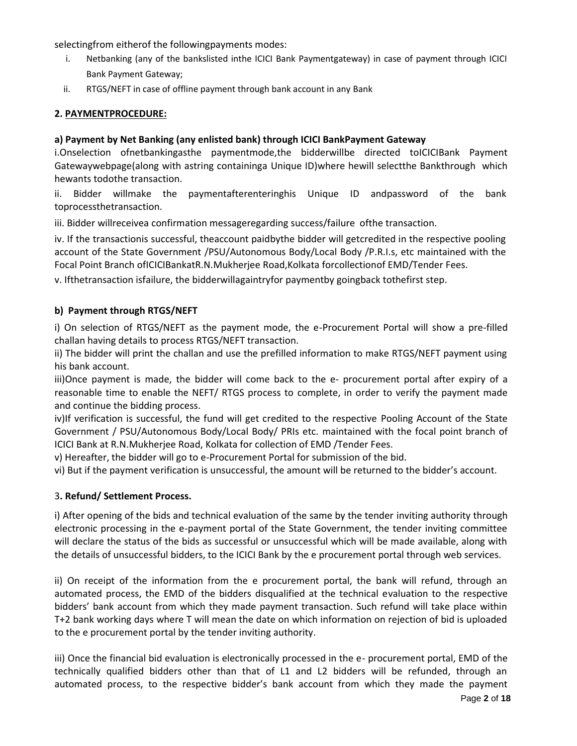selectingfrom eitherof the followingpayments modes:

- i. Netbanking (any of the bankslisted inthe ICICI Bank Paymentgateway) in case of payment through ICICI Bank Payment Gateway;
- ii. RTGS/NEFT in case of offline payment through bank account in any Bank

# **2. PAYMENTPROCEDURE:**

# **a) Payment by Net Banking (any enlisted bank) through ICICI BankPayment Gateway**

i.Onselection ofnetbankingasthe paymentmode,the bidderwillbe directed toICICIBank Payment Gatewaywebpage(along with astring containinga Unique ID)where hewill selectthe Bankthrough which hewants todothe transaction.

ii. Bidder willmake the paymentafterenteringhis Unique ID andpassword of the bank toprocessthetransaction.

iii. Bidder willreceivea confirmation messageregarding success/failure ofthe transaction.

iv. If the transactionis successful, theaccount paidbythe bidder will getcredited in the respective pooling account of the State Government /PSU/Autonomous Body/Local Body /P.R.I.s, etc maintained with the Focal Point Branch ofICICIBankatR.N.Mukherjee Road,Kolkata forcollectionof EMD/Tender Fees.

v. Ifthetransaction isfailure, the bidderwillagaintryfor paymentby goingback tothefirst step.

# **b) Payment through RTGS/NEFT**

i) On selection of RTGS/NEFT as the payment mode, the e-Procurement Portal will show a pre-filled challan having details to process RTGS/NEFT transaction.

ii) The bidder will print the challan and use the prefilled information to make RTGS/NEFT payment using his bank account.

iii)Once payment is made, the bidder will come back to the e- procurement portal after expiry of a reasonable time to enable the NEFT/ RTGS process to complete, in order to verify the payment made and continue the bidding process.

iv)If verification is successful, the fund will get credited to the respective Pooling Account of the State Government / PSU/Autonomous Body/Local Body/ PRIs etc. maintained with the focal point branch of ICICI Bank at R.N.Mukherjee Road, Kolkata for collection of EMD /Tender Fees.

v) Hereafter, the bidder will go to e-Procurement Portal for submission of the bid.

vi) But if the payment verification is unsuccessful, the amount will be returned to the bidder's account.

## 3**. Refund/ Settlement Process.**

i) After opening of the bids and technical evaluation of the same by the tender inviting authority through electronic processing in the e-payment portal of the State Government, the tender inviting committee will declare the status of the bids as successful or unsuccessful which will be made available, along with the details of unsuccessful bidders, to the ICICI Bank by the e procurement portal through web services.

ii) On receipt of the information from the e procurement portal, the bank will refund, through an automated process, the EMD of the bidders disqualified at the technical evaluation to the respective bidders' bank account from which they made payment transaction. Such refund will take place within T+2 bank working days where T will mean the date on which information on rejection of bid is uploaded to the e procurement portal by the tender inviting authority.

iii) Once the financial bid evaluation is electronically processed in the e- procurement portal, EMD of the technically qualified bidders other than that of L1 and L2 bidders will be refunded, through an automated process, to the respective bidder's bank account from which they made the payment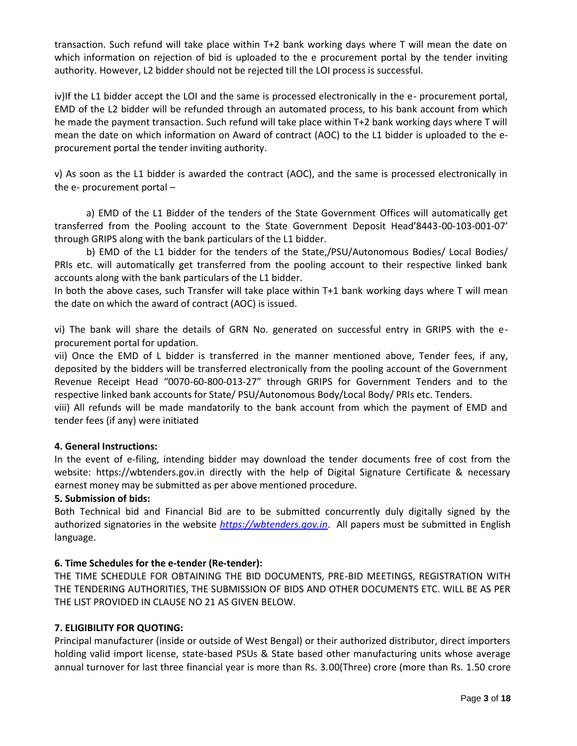transaction. Such refund will take place within T+2 bank working days where T will mean the date on which information on rejection of bid is uploaded to the e procurement portal by the tender inviting authority. However, L2 bidder should not be rejected till the LOI process is successful.

iv)If the L1 bidder accept the LOI and the same is processed electronically in the e- procurement portal, EMD of the L2 bidder will be refunded through an automated process, to his bank account from which he made the payment transaction. Such refund will take place within T+2 bank working days where T will mean the date on which information on Award of contract (AOC) to the L1 bidder is uploaded to the e procurement portal the tender inviting authority.

v) As soon as the L1 bidder is awarded the contract (AOC), and the same is processed electronically in the e- procurement portal –

a) EMD of the L1 Bidder of the tenders of the State Government Offices will automatically get transferred from the Pooling account to the State Government Deposit Head'8443-00-103-001-07' through GRIPS along with the bank particulars of the L1 bidder.

b) EMD of the L1 bidder for the tenders of the State,/PSU/Autonomous Bodies/ Local Bodies/ PRIs etc. will automatically get transferred from the pooling account to their respective linked bank accounts along with the bank particulars of the L1 bidder.

In both the above cases, such Transfer will take place within T+1 bank working days where T will mean the date on which the award of contract (AOC) is issued.

vi) The bank will share the details of GRN No. generated on successful entry in GRIPS with the e procurement portal for updation.

vii) Once the EMD of L bidder is transferred in the manner mentioned above, Tender fees, if any, deposited by the bidders will be transferred electronically from the pooling account of the Government Revenue Receipt Head "0070-60-800-013-27" through GRIPS for Government Tenders and to the respective linked bank accounts for State/ PSU/Autonomous Body/Local Body/ PRIs etc. Tenders.

viii) All refunds will be made mandatorily to the bank account from which the payment of EMD and tender fees (if any) were initiated

# **4. General Instructions:**

In the event of e-filing, intending bidder may download the tender documents free of cost from the website: https://wbtenders.gov.in directly with the help of Digital Signature Certificate & necessary earnest money may be submitted as per above mentioned procedure.

## **5. Submission of bids:**

Both Technical bid and Financial Bid are to be submitted concurrently duly digitally signed by the authorized signatories in the website *https://wbtenders.gov.in*. All papers must be submitted in English language.

## **6. Time Schedules for the e-tender (Re-tender):**

THE TIME SCHEDULE FOR OBTAINING THE BID DOCUMENTS, PRE-BID MEETINGS, REGISTRATION WITH THE TENDERING AUTHORITIES, THE SUBMISSION OF BIDS AND OTHER DOCUMENTS ETC. WILL BE AS PER THE LIST PROVIDED IN CLAUSE NO 21 AS GIVEN BELOW.

## **7. ELIGIBILITY FOR QUOTING:**

Principal manufacturer (inside or outside of West Bengal) or their authorized distributor, direct importers holding valid import license, state-based PSUs & State based other manufacturing units whose average annual turnover for last three financial year is more than Rs. 3.00(Three) crore (more than Rs. 1.50 crore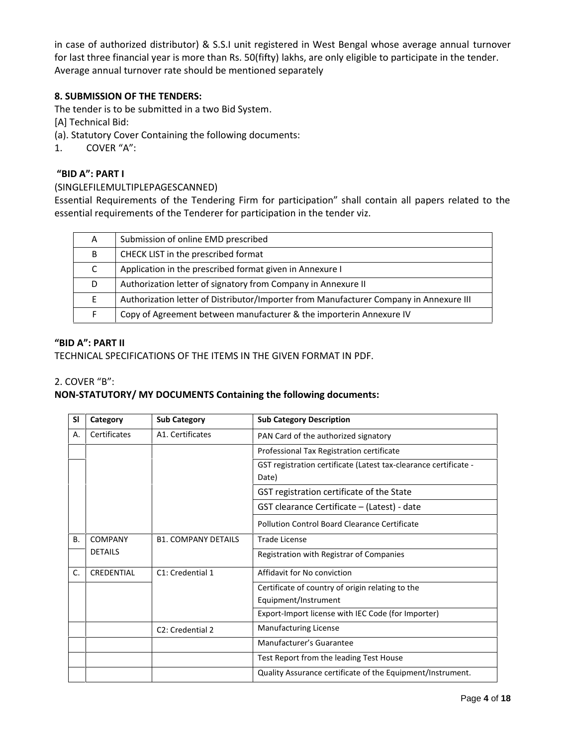in case of authorized distributor) & S.S.I unit registered in West Bengal whose average annual turnover for last three financial year is more than Rs. 50(fifty) lakhs, are only eligible to participate in the tender. Average annual turnover rate should be mentioned separately

# **8. SUBMISSION OF THE TENDERS:**

The tender is to be submitted in a two Bid System.

[A] Technical Bid:

- (a). Statutory Cover Containing the following documents:
- 1. COVER "A":

# **"BID A": PART I**

# (SINGLEFILEMULTIPLEPAGESCANNED)

Essential Requirements of the Tendering Firm for participation" shall contain all papers related to the essential requirements of the Tenderer for participation in the tender viz.

| A  | Submission of online EMD prescribed                                                    |
|----|----------------------------------------------------------------------------------------|
| B  | CHECK LIST in the prescribed format                                                    |
|    | Application in the prescribed format given in Annexure I                               |
| D  | Authorization letter of signatory from Company in Annexure II                          |
| F. | Authorization letter of Distributor/Importer from Manufacturer Company in Annexure III |
|    | Copy of Agreement between manufacturer & the importerin Annexure IV                    |
|    |                                                                                        |

## **"BID A": PART II**

## TECHNICAL SPECIFICATIONS OF THE ITEMS IN THE GIVEN FORMAT IN PDF.

## 2. COVER "B":

# **NON-STATUTORY/ MY DOCUMENTS Containing the following documents:**

| SI        | Category       | <b>Sub Category</b>           | <b>Sub Category Description</b>                                  |  |
|-----------|----------------|-------------------------------|------------------------------------------------------------------|--|
| А.        | Certificates   | A1. Certificates              | PAN Card of the authorized signatory                             |  |
|           |                |                               | Professional Tax Registration certificate                        |  |
|           |                |                               | GST registration certificate (Latest tax-clearance certificate - |  |
|           |                |                               | Date)                                                            |  |
|           |                |                               | GST registration certificate of the State                        |  |
|           |                |                               | GST clearance Certificate - (Latest) - date                      |  |
|           |                |                               | Pollution Control Board Clearance Certificate                    |  |
| <b>B.</b> | <b>COMPANY</b> | <b>B1. COMPANY DETAILS</b>    | <b>Trade License</b>                                             |  |
|           | <b>DETAILS</b> |                               | Registration with Registrar of Companies                         |  |
| C.        | CREDENTIAL     | C1: Credential 1              | Affidavit for No conviction                                      |  |
|           |                |                               | Certificate of country of origin relating to the                 |  |
|           |                |                               | Equipment/Instrument                                             |  |
|           |                |                               | Export-Import license with IEC Code (for Importer)               |  |
|           |                | C <sub>2</sub> : Credential 2 | <b>Manufacturing License</b>                                     |  |
|           |                |                               | Manufacturer's Guarantee                                         |  |
|           |                |                               | Test Report from the leading Test House                          |  |
|           |                |                               | Quality Assurance certificate of the Equipment/Instrument.       |  |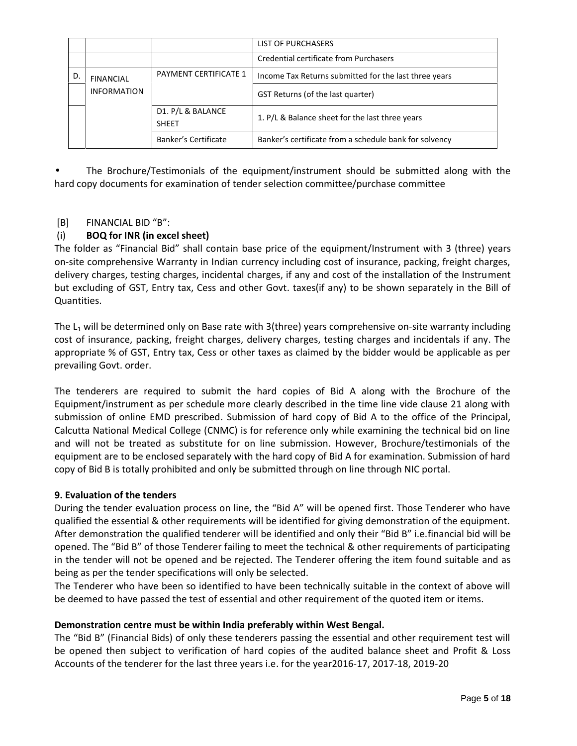|    |                    |                                   | LIST OF PURCHASERS                                     |
|----|--------------------|-----------------------------------|--------------------------------------------------------|
|    |                    |                                   | Credential certificate from Purchasers                 |
| D. | <b>FINANCIAL</b>   | <b>PAYMENT CERTIFICATE 1</b>      | Income Tax Returns submitted for the last three years  |
|    | <b>INFORMATION</b> |                                   | GST Returns (of the last quarter)                      |
|    |                    | D1. P/L & BALANCE<br><b>SHEET</b> | 1. P/L & Balance sheet for the last three years        |
|    |                    | Banker's Certificate              | Banker's certificate from a schedule bank for solvency |

 The Brochure/Testimonials of the equipment/instrument should be submitted along with the hard copy documents for examination of tender selection committee/purchase committee

# [B] FINANCIAL BID "B":

# (i) **BOQ for INR (in excel sheet)**

The folder as "Financial Bid" shall contain base price of the equipment/Instrument with 3 (three) years on-site comprehensive Warranty in Indian currency including cost of insurance, packing, freight charges, delivery charges, testing charges, incidental charges, if any and cost of the installation of the Instrument but excluding of GST, Entry tax, Cess and other Govt. taxes(if any) to be shown separately in the Bill of Quantities.

The  $L_1$  will be determined only on Base rate with 3(three) years comprehensive on-site warranty including cost of insurance, packing, freight charges, delivery charges, testing charges and incidentals if any. The appropriate % of GST, Entry tax, Cess or other taxes as claimed by the bidder would be applicable as per prevailing Govt. order.

The tenderers are required to submit the hard copies of Bid A along with the Brochure of the Equipment/instrument as per schedule more clearly described in the time line vide clause 21 along with submission of online EMD prescribed. Submission of hard copy of Bid A to the office of the Principal, Calcutta National Medical College (CNMC) is for reference only while examining the technical bid on line and will not be treated as substitute for on line submission. However, Brochure/testimonials of the equipment are to be enclosed separately with the hard copy of Bid A for examination. Submission of hard copy of Bid B is totally prohibited and only be submitted through on line through NIC portal.

## **9. Evaluation of the tenders**

During the tender evaluation process on line, the "Bid A" will be opened first. Those Tenderer who have qualified the essential & other requirements will be identified for giving demonstration of the equipment. After demonstration the qualified tenderer will be identified and only their "Bid B" i.e.financial bid will be opened. The "Bid B" of those Tenderer failing to meet the technical & other requirements of participating in the tender will not be opened and be rejected. The Tenderer offering the item found suitable and as being as per the tender specifications will only be selected.

The Tenderer who have been so identified to have been technically suitable in the context of above will be deemed to have passed the test of essential and other requirement of the quoted item or items.

## **Demonstration centre must be within India preferably within West Bengal.**

The "Bid B" (Financial Bids) of only these tenderers passing the essential and other requirement test will be opened then subject to verification of hard copies of the audited balance sheet and Profit & Loss Accounts of the tenderer for the last three years i.e. for the year2016-17, 2017-18, 2019-20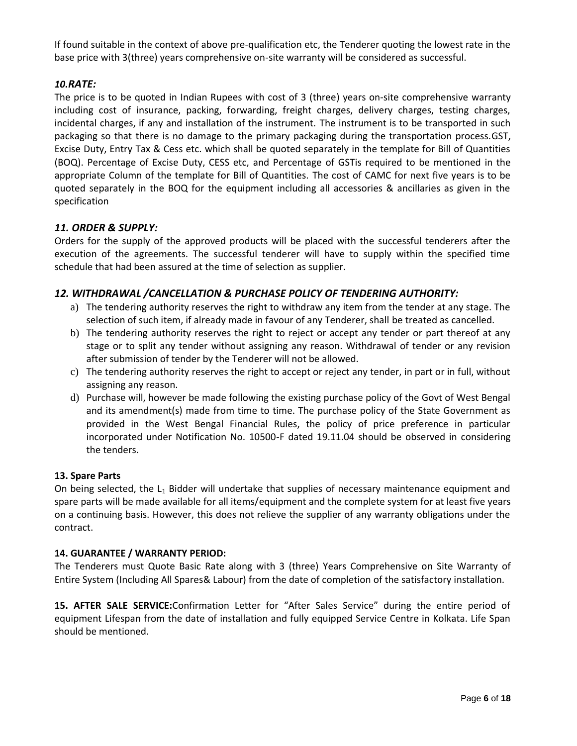If found suitable in the context of above pre-qualification etc, the Tenderer quoting the lowest rate in the base price with 3(three) years comprehensive on-site warranty will be considered as successful.

# *10.RATE:*

The price is to be quoted in Indian Rupees with cost of 3 (three) years on-site comprehensive warranty including cost of insurance, packing, forwarding, freight charges, delivery charges, testing charges, incidental charges, if any and installation of the instrument. The instrument is to be transported in such packaging so that there is no damage to the primary packaging during the transportation process.GST, Excise Duty, Entry Tax & Cess etc. which shall be quoted separately in the template for Bill of Quantities (BOQ). Percentage of Excise Duty, CESS etc, and Percentage of GSTis required to be mentioned in the appropriate Column of the template for Bill of Quantities. The cost of CAMC for next five years is to be quoted separately in the BOQ for the equipment including all accessories & ancillaries as given in the specification

# *11. ORDER & SUPPLY:*

Orders for the supply of the approved products will be placed with the successful tenderers after the execution of the agreements. The successful tenderer will have to supply within the specified time schedule that had been assured at the time of selection as supplier.

# *12. WITHDRAWAL /CANCELLATION & PURCHASE POLICY OF TENDERING AUTHORITY:*

- a) The tendering authority reserves the right to withdraw any item from the tender at any stage. The selection of such item, if already made in favour of any Tenderer, shall be treated as cancelled.
- b) The tendering authority reserves the right to reject or accept any tender or part thereof at any stage or to split any tender without assigning any reason. Withdrawal of tender or any revision after submission of tender by the Tenderer will not be allowed.
- c) The tendering authority reserves the right to accept or reject any tender, in part or in full, without assigning any reason.
- d) Purchase will, however be made following the existing purchase policy of the Govt of West Bengal and its amendment(s) made from time to time. The purchase policy of the State Government as provided in the West Bengal Financial Rules, the policy of price preference in particular incorporated under Notification No. 10500-F dated 19.11.04 should be observed in considering the tenders.

## **13. Spare Parts**

On being selected, the  $L_1$  Bidder will undertake that supplies of necessary maintenance equipment and spare parts will be made available for all items/equipment and the complete system for at least five years on a continuing basis. However, this does not relieve the supplier of any warranty obligations under the contract.

## **14. GUARANTEE / WARRANTY PERIOD:**

The Tenderers must Quote Basic Rate along with 3 (three) Years Comprehensive on Site Warranty of Entire System (Including All Spares& Labour) from the date of completion of the satisfactory installation.

**15. AFTER SALE SERVICE:**Confirmation Letter for "After Sales Service" during the entire period of equipment Lifespan from the date of installation and fully equipped Service Centre in Kolkata. Life Span should be mentioned.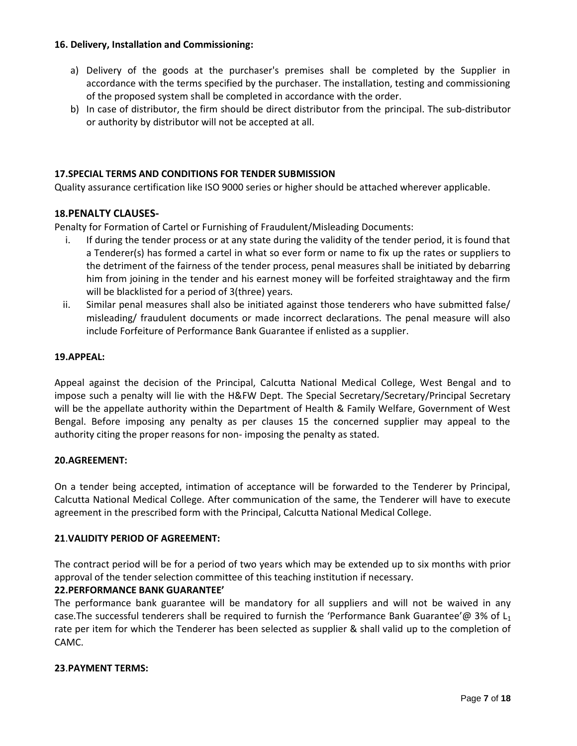## **16. Delivery, Installation and Commissioning:**

- a) Delivery of the goods at the purchaser's premises shall be completed by the Supplier in accordance with the terms specified by the purchaser. The installation, testing and commissioning of the proposed system shall be completed in accordance with the order.
- b) In case of distributor, the firm should be direct distributor from the principal. The sub-distributor or authority by distributor will not be accepted at all.

# **17.SPECIAL TERMS AND CONDITIONS FOR TENDER SUBMISSION**

Quality assurance certification like ISO 9000 series or higher should be attached wherever applicable.

## **18.PENALTY CLAUSES-**

Penalty for Formation of Cartel or Furnishing of Fraudulent/Misleading Documents:

- i. If during the tender process or at any state during the validity of the tender period, it is found that a Tenderer(s) has formed a cartel in what so ever form or name to fix up the rates or suppliers to the detriment of the fairness of the tender process, penal measures shall be initiated by debarring him from joining in the tender and his earnest money will be forfeited straightaway and the firm will be blacklisted for a period of 3(three) years.
- ii. Similar penal measures shall also be initiated against those tenderers who have submitted false/ misleading/ fraudulent documents or made incorrect declarations. The penal measure will also include Forfeiture of Performance Bank Guarantee if enlisted as a supplier.

# **19.APPEAL:**

Appeal against the decision of the Principal, Calcutta National Medical College, West Bengal and to impose such a penalty will lie with the H&FW Dept. The Special Secretary/Secretary/Principal Secretary will be the appellate authority within the Department of Health & Family Welfare, Government of West Bengal. Before imposing any penalty as per clauses 15 the concerned supplier may appeal to the authority citing the proper reasons for non- imposing the penalty as stated.

## **20.AGREEMENT:**

On a tender being accepted, intimation of acceptance will be forwarded to the Tenderer by Principal, Calcutta National Medical College. After communication of the same, the Tenderer will have to execute agreement in the prescribed form with the Principal, Calcutta National Medical College.

## **21**.**VALIDITY PERIOD OF AGREEMENT:**

The contract period will be for a period of two years which may be extended up to six months with prior approval of the tender selection committee of this teaching institution if necessary.

## **22.PERFORMANCE BANK GUARANTEE'**

The performance bank guarantee will be mandatory for all suppliers and will not be waived in any case. The successful tenderers shall be required to furnish the 'Performance Bank Guarantee'@ 3% of  $L_1$ rate per item for which the Tenderer has been selected as supplier & shall valid up to the completion of CAMC.

#### **23**.**PAYMENT TERMS:**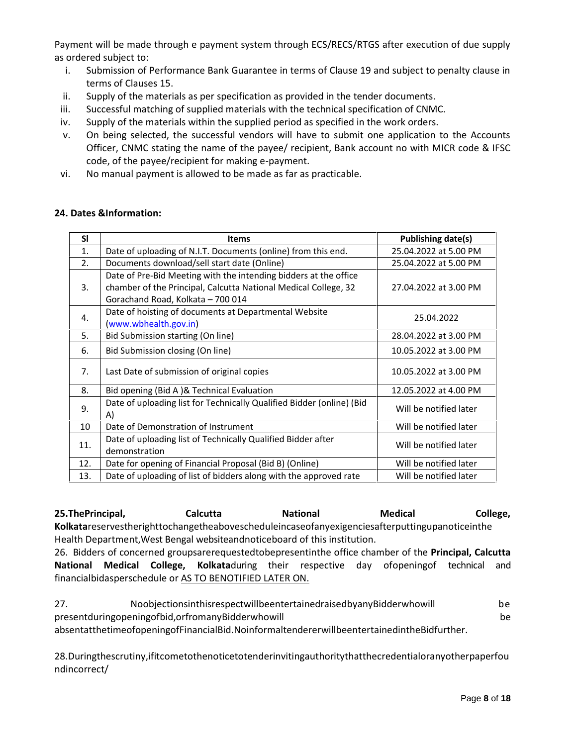Payment will be made through e payment system through ECS/RECS/RTGS after execution of due supply as ordered subject to:

- i. Submission of Performance Bank Guarantee in terms of Clause 19 and subject to penalty clause in terms of Clauses 15.
- ii. Supply of the materials as per specification as provided in the tender documents.
- iii. Successful matching of supplied materials with the technical specification of CNMC.
- iv. Supply of the materials within the supplied period as specified in the work orders.
- v. On being selected, the successful vendors will have to submit one application to the Accounts Officer, CNMC stating the name of the payee/ recipient, Bank account no with MICR code & IFSC code, of the payee/recipient for making e-payment.
- vi. No manual payment is allowed to be made as far as practicable.

# **24. Dates &Information:**

| <b>SI</b> | <b>Items</b>                                                                                                                                                             | Publishing date(s)     |
|-----------|--------------------------------------------------------------------------------------------------------------------------------------------------------------------------|------------------------|
| 1.        | Date of uploading of N.I.T. Documents (online) from this end.                                                                                                            | 25.04.2022 at 5.00 PM  |
| 2.        | Documents download/sell start date (Online)                                                                                                                              | 25.04.2022 at 5.00 PM  |
| 3.        | Date of Pre-Bid Meeting with the intending bidders at the office<br>chamber of the Principal, Calcutta National Medical College, 32<br>Gorachand Road, Kolkata - 700 014 | 27.04.2022 at 3.00 PM  |
| 4.        | Date of hoisting of documents at Departmental Website<br>(www.wbhealth.gov.in)                                                                                           | 25.04.2022             |
| 5.        | Bid Submission starting (On line)                                                                                                                                        | 28.04.2022 at 3.00 PM  |
| 6.        | Bid Submission closing (On line)                                                                                                                                         | 10.05.2022 at 3.00 PM  |
| 7.        | Last Date of submission of original copies                                                                                                                               | 10.05.2022 at 3.00 PM  |
| 8.        | Bid opening (Bid A)& Technical Evaluation                                                                                                                                | 12.05.2022 at 4.00 PM  |
| 9.        | Date of uploading list for Technically Qualified Bidder (online) (Bid<br>A)                                                                                              | Will be notified later |
| 10        | Date of Demonstration of Instrument                                                                                                                                      | Will be notified later |
| 11.       | Date of uploading list of Technically Qualified Bidder after<br>demonstration                                                                                            | Will be notified later |
| 12.       | Date for opening of Financial Proposal (Bid B) (Online)                                                                                                                  | Will be notified later |
| 13.       | Date of uploading of list of bidders along with the approved rate                                                                                                        | Will be notified later |

**25.ThePrincipal, Calcutta National Medical College, Kolkata**reservestherighttochangetheabovescheduleincaseofanyexigenciesafterputtingupanoticeinthe Health Department,West Bengal websiteandnoticeboard of this institution.

26. Bidders of concerned groupsarerequestedtobepresentinthe office chamber of the **Principal, Calcutta National Medical College, Kolkata**during their respective day ofopeningof technical and financialbidasperschedule or AS TO BENOTIFIED LATER ON.

| 27. | NoobjectionsinthisrespectwillbeentertainedraisedbyanyBidderwhowill                         | be |
|-----|--------------------------------------------------------------------------------------------|----|
|     | present during opening of bid, or from any Bidder who will                                 | be |
|     | absentatthetimeofopeningofFinancialBid.NoinformaltendererwillbeentertainedintheBidfurther. |    |

28.Duringthescrutiny,ifitcometothenoticetotenderinvitingauthoritythatthecredentialoranyotherpaperfou ndincorrect/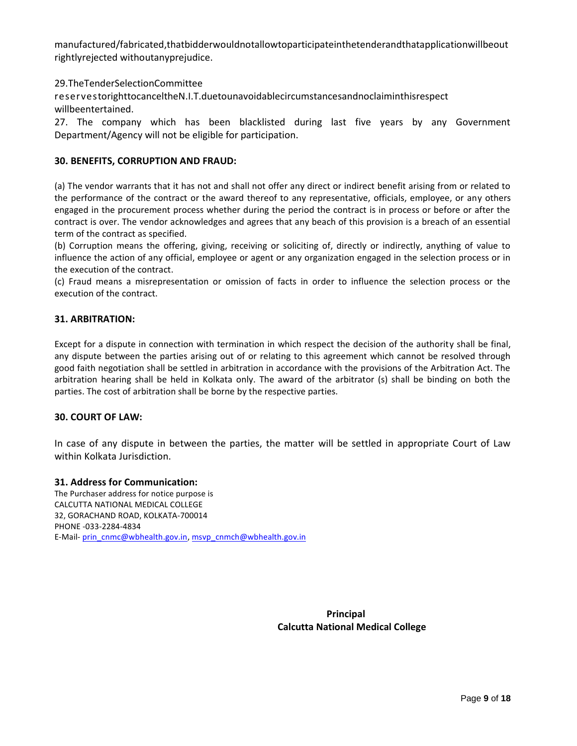manufactured/fabricated,thatbidderwouldnotallowtoparticipateinthetenderandthatapplicationwillbeout rightlyrejected withoutanyprejudice.

29.TheTenderSelectionCommittee

reservestorighttocanceltheN.I.T.duetounavoidablecircumstancesandnoclaiminthisrespect willbeentertained.

27. The company which has been blacklisted during last five years by any Government Department/Agency will not be eligible for participation.

## **30. BENEFITS, CORRUPTION AND FRAUD:**

(a) The vendor warrants that it has not and shall not offer any direct or indirect benefit arising from or related to the performance of the contract or the award thereof to any representative, officials, employee, or any others engaged in the procurement process whether during the period the contract is in process or before or after the contract is over. The vendor acknowledges and agrees that any beach of this provision is a breach of an essential term of the contract as specified.

(b) Corruption means the offering, giving, receiving or soliciting of, directly or indirectly, anything of value to influence the action of any official, employee or agent or any organization engaged in the selection process or in the execution of the contract.

(c) Fraud means a misrepresentation or omission of facts in order to influence the selection process or the execution of the contract.

## **31. ARBITRATION:**

Except for a dispute in connection with termination in which respect the decision of the authority shall be final, any dispute between the parties arising out of or relating to this agreement which cannot be resolved through good faith negotiation shall be settled in arbitration in accordance with the provisions of the Arbitration Act. The arbitration hearing shall be held in Kolkata only. The award of the arbitrator (s) shall be binding on both the parties. The cost of arbitration shall be borne by the respective parties.

## **30. COURT OF LAW:**

In case of any dispute in between the parties, the matter will be settled in appropriate Court of Law within Kolkata Jurisdiction.

#### **31. Address for Communication:**

The Purchaser address for notice purpose is CALCUTTA NATIONAL MEDICAL COLLEGE 32, GORACHAND ROAD, KOLKATA-700014 PHONE -033-2284-4834 E-Mail- prin\_cnmc@wbhealth.gov.in, msvp\_cnmch@wbhealth.gov.in

> **Principal Calcutta National Medical College**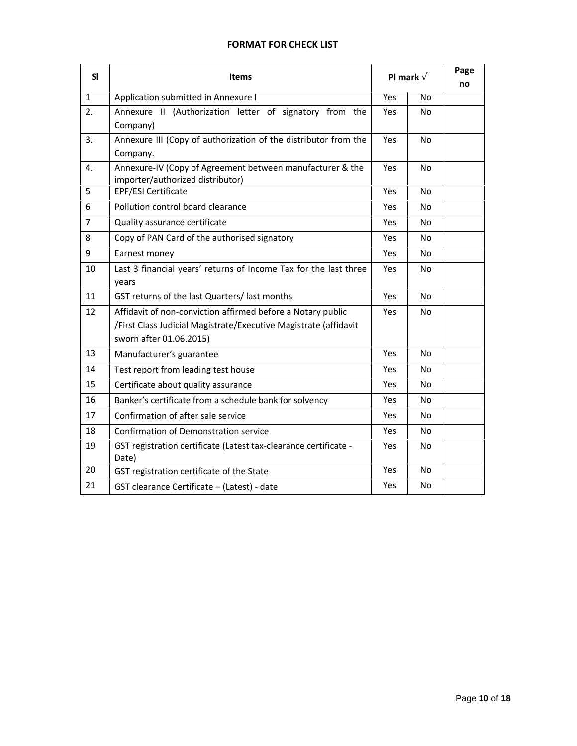# **FORMAT FOR CHECK LIST**

| SI             | <b>Items</b>                                                              | Pl mark ð |                | Page<br>no |
|----------------|---------------------------------------------------------------------------|-----------|----------------|------------|
| $\mathbf{1}$   | Application submitted in Annexure I                                       | Yes       | No             |            |
| 2.             | Annexure II (Authorization letter of signatory from the                   | Yes       | No             |            |
|                | Company)                                                                  |           |                |            |
| 3.             | Annexure III (Copy of authorization of the distributor from the           | Yes       | <b>No</b>      |            |
|                | Company.                                                                  |           |                |            |
| 4.             | Annexure-IV (Copy of Agreement between manufacturer & the                 | Yes       | No             |            |
| 5              | importer/authorized distributor)                                          |           |                |            |
|                | EPF/ESI Certificate                                                       | Yes       | <b>No</b>      |            |
| 6              | Pollution control board clearance                                         | Yes       | N <sub>O</sub> |            |
| $\overline{7}$ | Quality assurance certificate                                             | Yes       | No.            |            |
| 8              | Copy of PAN Card of the authorised signatory                              | Yes       | No             |            |
| 9              | Earnest money                                                             | Yes       | No             |            |
| 10             | Last 3 financial years' returns of Income Tax for the last three          | Yes       | No.            |            |
|                | years                                                                     |           |                |            |
| 11             | GST returns of the last Quarters/ last months                             | Yes       | No             |            |
| 12             | Affidavit of non-conviction affirmed before a Notary public               | Yes       | No             |            |
|                | /First Class Judicial Magistrate/Executive Magistrate (affidavit          |           |                |            |
|                | sworn after 01.06.2015)                                                   |           |                |            |
| 13             | Manufacturer's guarantee                                                  | Yes       | No             |            |
| 14             | Test report from leading test house                                       | Yes       | No             |            |
| 15             | Certificate about quality assurance                                       | Yes       | No             |            |
| 16             | Banker's certificate from a schedule bank for solvency                    | Yes       | No             |            |
| 17             | Confirmation of after sale service                                        | Yes       | No             |            |
| 18             | Confirmation of Demonstration service                                     | Yes       | No.            |            |
| 19             | GST registration certificate (Latest tax-clearance certificate -<br>Date) | Yes       | No             |            |
| 20             | GST registration certificate of the State                                 | Yes       | No             |            |
| 21             | GST clearance Certificate - (Latest) - date                               | Yes       | No             |            |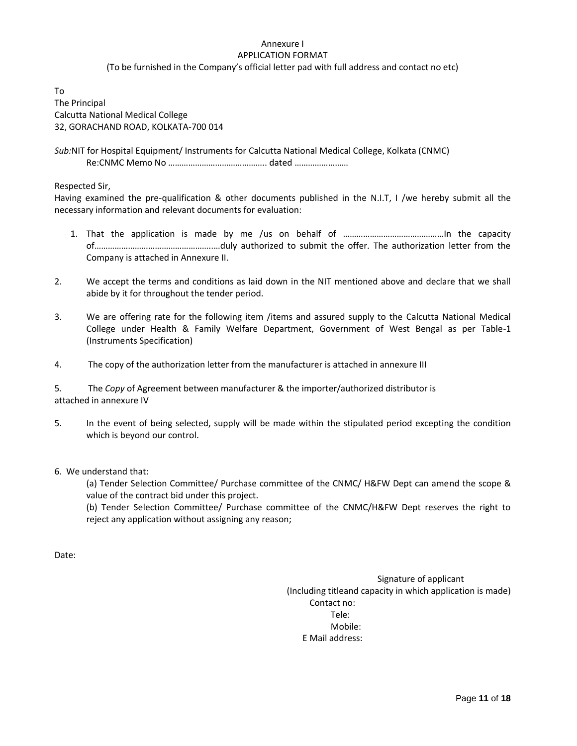#### Annexure I APPLICATION FORMAT

(To be furnished in the Company's official letter pad with full address and contact no etc)

To The Principal Calcutta National Medical College 32, GORACHAND ROAD, KOLKATA-700 014

*Sub:*NIT for Hospital Equipment/ Instruments for Calcutta National Medical College, Kolkata (CNMC) Re:CNMC Memo No …………………………………….. dated ……………………

Respected Sir,

Having examined the pre-qualification & other documents published in the N.I.T, I /we hereby submit all the necessary information and relevant documents for evaluation:

- 1. That the application is made by me /us on behalf of ………………………………………In the capacity of……………………………………………..…duly authorized to submit the offer. The authorization letter from the Company is attached in Annexure II.
- 2. We accept the terms and conditions as laid down in the NIT mentioned above and declare that we shall abide by it for throughout the tender period.
- 3. We are offering rate for the following item /items and assured supply to the Calcutta National Medical College under Health & Family Welfare Department, Government of West Bengal as per Table-1 (Instruments Specification)
- 4. The copy of the authorization letter from the manufacturer is attached in annexure III

5*.* The *Copy* of Agreement between manufacturer & the importer/authorized distributor is attached in annexure IV

- 5. In the event of being selected, supply will be made within the stipulated period excepting the condition which is beyond our control.
- 6. We understand that:

(a) Tender Selection Committee/ Purchase committee of the CNMC/ H&FW Dept can amend the scope & value of the contract bid under this project.

(b) Tender Selection Committee/ Purchase committee of the CNMC/H&FW Dept reserves the right to reject any application without assigning any reason;

Date:

Signature of applicant (Including titleand capacity in which application is made) Contact no: Tele: Mobile: E Mail address: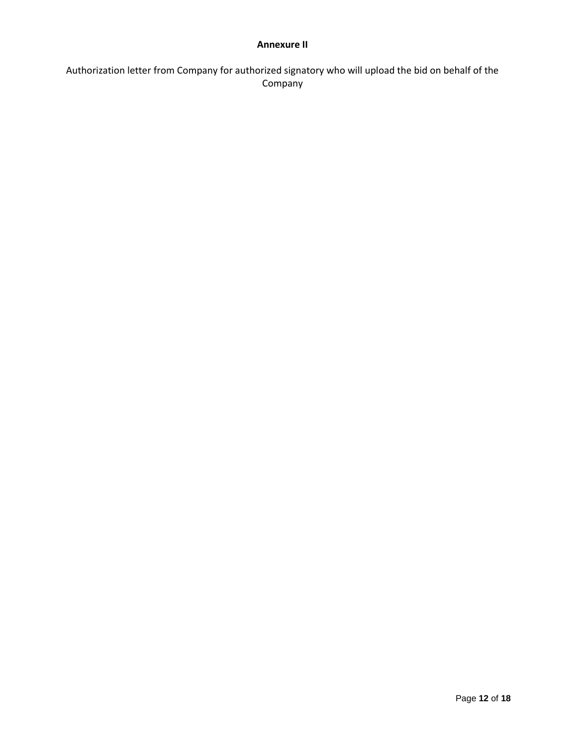# **Annexure II**

Authorization letter from Company for authorized signatory who will upload the bid on behalf of the Company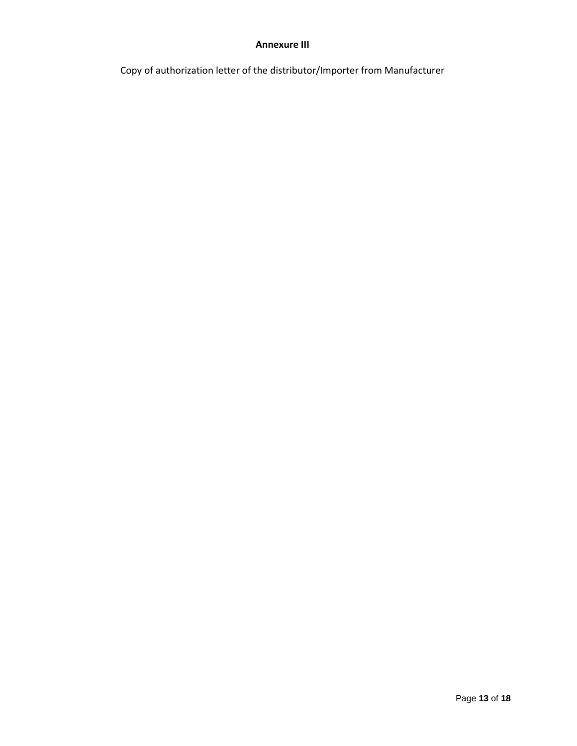# **Annexure III**

Copy of authorization letter of the distributor/Importer from Manufacturer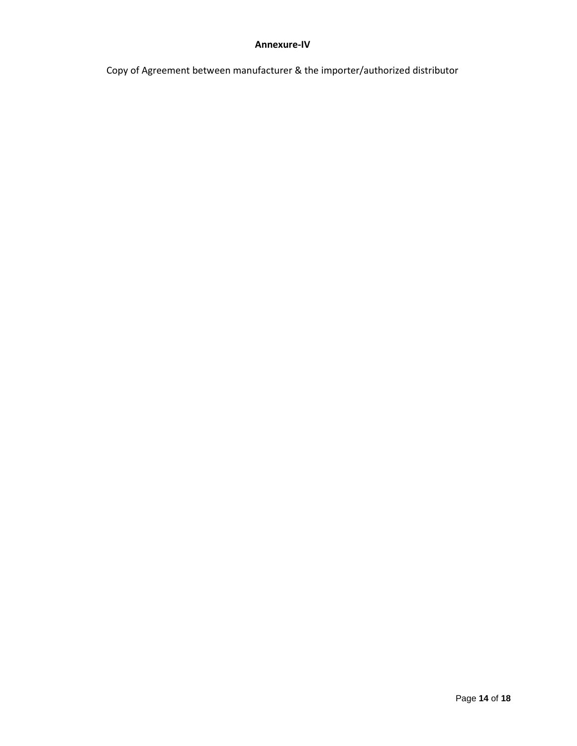# **Annexure-IV**

Copy of Agreement between manufacturer & the importer/authorized distributor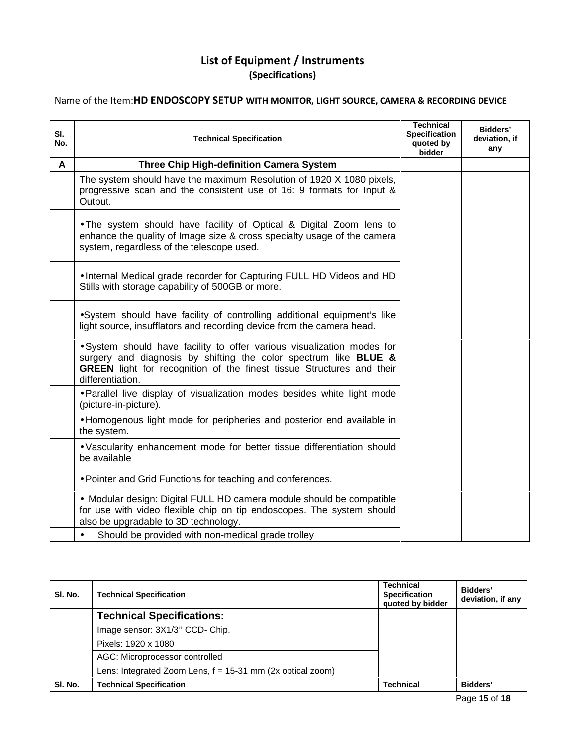# **List of Equipment / Instruments (Specifications)**

# Name of the Item:**HD ENDOSCOPY SETUP WITH MONITOR, LIGHT SOURCE, CAMERA & RECORDING DEVICE**

| SI.<br>No. | <b>Technical Specification</b>                                                                                                                                                                                                                 | <b>Technical</b><br><b>Specification</b><br>quoted by<br>bidder | Bidders'<br>deviation, if<br>any |
|------------|------------------------------------------------------------------------------------------------------------------------------------------------------------------------------------------------------------------------------------------------|-----------------------------------------------------------------|----------------------------------|
| A          | Three Chip High-definition Camera System                                                                                                                                                                                                       |                                                                 |                                  |
|            | The system should have the maximum Resolution of 1920 X 1080 pixels,<br>progressive scan and the consistent use of 16: 9 formats for Input &<br>Output.                                                                                        |                                                                 |                                  |
|            | . The system should have facility of Optical & Digital Zoom lens to<br>enhance the quality of Image size & cross specialty usage of the camera<br>system, regardless of the telescope used.                                                    |                                                                 |                                  |
|            | . Internal Medical grade recorder for Capturing FULL HD Videos and HD<br>Stills with storage capability of 500GB or more.                                                                                                                      |                                                                 |                                  |
|            | •System should have facility of controlling additional equipment's like<br>light source, insufflators and recording device from the camera head.                                                                                               |                                                                 |                                  |
|            | · System should have facility to offer various visualization modes for<br>surgery and diagnosis by shifting the color spectrum like BLUE &<br><b>GREEN</b> light for recognition of the finest tissue Structures and their<br>differentiation. |                                                                 |                                  |
|            | . Parallel live display of visualization modes besides white light mode<br>(picture-in-picture).                                                                                                                                               |                                                                 |                                  |
|            | • Homogenous light mode for peripheries and posterior end available in<br>the system.                                                                                                                                                          |                                                                 |                                  |
|            | . Vascularity enhancement mode for better tissue differentiation should<br>be available                                                                                                                                                        |                                                                 |                                  |
|            | . Pointer and Grid Functions for teaching and conferences.                                                                                                                                                                                     |                                                                 |                                  |
|            | • Modular design: Digital FULL HD camera module should be compatible<br>for use with video flexible chip on tip endoscopes. The system should<br>also be upgradable to 3D technology.                                                          |                                                                 |                                  |
|            | Should be provided with non-medical grade trolley<br>$\bullet$                                                                                                                                                                                 |                                                                 |                                  |

| SI. No. | <b>Technical Specification</b>                               | Technical<br><b>Specification</b><br>quoted by bidder | <b>Bidders'</b><br>deviation, if any |
|---------|--------------------------------------------------------------|-------------------------------------------------------|--------------------------------------|
|         | <b>Technical Specifications:</b>                             |                                                       |                                      |
|         | Image sensor: 3X1/3" CCD- Chip.                              |                                                       |                                      |
|         | Pixels: 1920 x 1080                                          |                                                       |                                      |
|         | AGC: Microprocessor controlled                               |                                                       |                                      |
|         | Lens: Integrated Zoom Lens, $f = 15-31$ mm (2x optical zoom) |                                                       |                                      |
| SI. No. | <b>Technical Specification</b>                               | <b>Technical</b>                                      | Bidders'                             |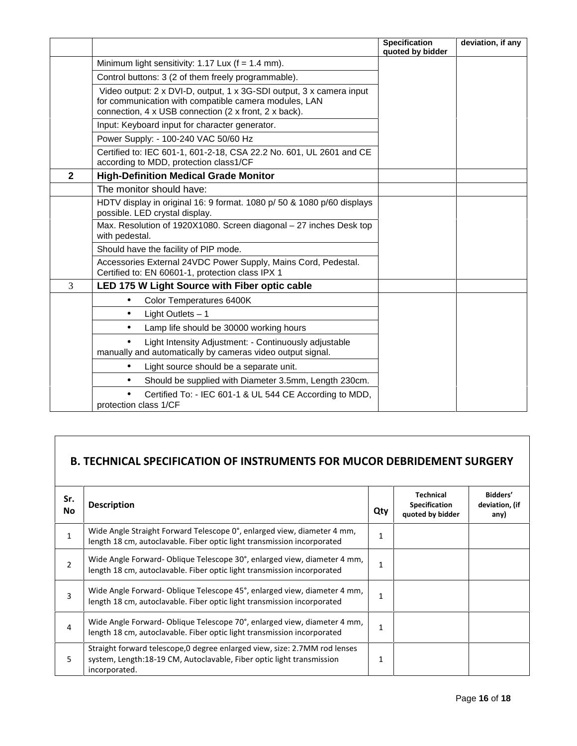|                |                                                                                                                                                                                        | <b>Specification</b><br>quoted by bidder | deviation, if any |
|----------------|----------------------------------------------------------------------------------------------------------------------------------------------------------------------------------------|------------------------------------------|-------------------|
|                | Minimum light sensitivity: 1.17 Lux ( $f = 1.4$ mm).                                                                                                                                   |                                          |                   |
|                | Control buttons: 3 (2 of them freely programmable).                                                                                                                                    |                                          |                   |
|                | Video output: 2 x DVI-D, output, 1 x 3G-SDI output, 3 x camera input<br>for communication with compatible camera modules, LAN<br>connection, 4 x USB connection (2 x front, 2 x back). |                                          |                   |
|                | Input: Keyboard input for character generator.                                                                                                                                         |                                          |                   |
|                | Power Supply: - 100-240 VAC 50/60 Hz                                                                                                                                                   |                                          |                   |
|                | Certified to: IEC 601-1, 601-2-18, CSA 22.2 No. 601, UL 2601 and CE<br>according to MDD, protection class1/CF                                                                          |                                          |                   |
| $\mathbf{2}$   | <b>High-Definition Medical Grade Monitor</b>                                                                                                                                           |                                          |                   |
|                | The monitor should have:                                                                                                                                                               |                                          |                   |
|                | HDTV display in original 16: 9 format. 1080 p/ 50 & 1080 p/60 displays<br>possible. LED crystal display.                                                                               |                                          |                   |
|                | Max. Resolution of 1920X1080. Screen diagonal - 27 inches Desk top<br>with pedestal.                                                                                                   |                                          |                   |
|                | Should have the facility of PIP mode.                                                                                                                                                  |                                          |                   |
|                | Accessories External 24VDC Power Supply, Mains Cord, Pedestal.<br>Certified to: EN 60601-1, protection class IPX 1                                                                     |                                          |                   |
| $\overline{3}$ | LED 175 W Light Source with Fiber optic cable                                                                                                                                          |                                          |                   |
|                | Color Temperatures 6400K<br>$\bullet$                                                                                                                                                  |                                          |                   |
|                | Light Outlets - 1<br>$\bullet$                                                                                                                                                         |                                          |                   |
|                | Lamp life should be 30000 working hours                                                                                                                                                |                                          |                   |
|                | Light Intensity Adjustment: - Continuously adjustable<br>manually and automatically by cameras video output signal.                                                                    |                                          |                   |
|                | Light source should be a separate unit.                                                                                                                                                |                                          |                   |
|                | Should be supplied with Diameter 3.5mm, Length 230cm.                                                                                                                                  |                                          |                   |
|                | Certified To: - IEC 601-1 & UL 544 CE According to MDD,<br>protection class 1/CF                                                                                                       |                                          |                   |

# **B. TECHNICAL SPECIFICATION OF INSTRUMENTS FOR MUCOR DEBRIDEMENT SURGERY**

| Sr.<br><b>No</b> | <b>Description</b>                                                                                                                                                   | Qty          | <b>Technical</b><br><b>Specification</b><br>quoted by bidder | Bidders'<br>deviation, (if<br>any) |
|------------------|----------------------------------------------------------------------------------------------------------------------------------------------------------------------|--------------|--------------------------------------------------------------|------------------------------------|
| 1                | Wide Angle Straight Forward Telescope 0°, enlarged view, diameter 4 mm,<br>length 18 cm, autoclavable. Fiber optic light transmission incorporated                   | 1            |                                                              |                                    |
| 2                | Wide Angle Forward-Oblique Telescope 30°, enlarged view, diameter 4 mm,<br>length 18 cm, autoclavable. Fiber optic light transmission incorporated                   | 1            |                                                              |                                    |
| 3                | Wide Angle Forward-Oblique Telescope 45°, enlarged view, diameter 4 mm,<br>length 18 cm, autoclavable. Fiber optic light transmission incorporated                   | $\mathbf{1}$ |                                                              |                                    |
| 4                | Wide Angle Forward-Oblique Telescope 70°, enlarged view, diameter 4 mm,<br>length 18 cm, autoclavable. Fiber optic light transmission incorporated                   | $\mathbf{1}$ |                                                              |                                    |
| 5                | Straight forward telescope, 0 degree enlarged view, size: 2.7MM rod lenses<br>system, Length:18-19 CM, Autoclavable, Fiber optic light transmission<br>incorporated. | 1            |                                                              |                                    |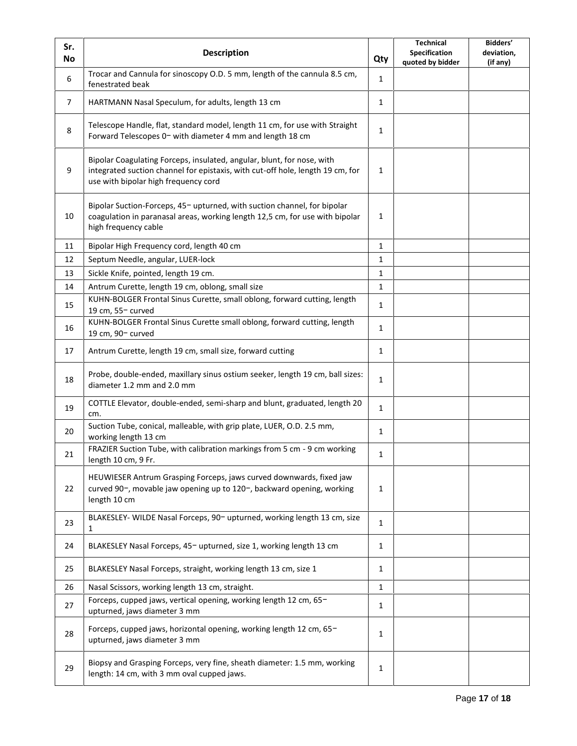| Sr.<br><b>No</b> | <b>Description</b>                                                                                                                                                                               | Qty          | <b>Technical</b><br>Specification<br>quoted by bidder | Bidders'<br>deviation,<br>(if any) |
|------------------|--------------------------------------------------------------------------------------------------------------------------------------------------------------------------------------------------|--------------|-------------------------------------------------------|------------------------------------|
| 6                | Trocar and Cannula for sinoscopy O.D. 5 mm, length of the cannula 8.5 cm,<br>fenestrated beak                                                                                                    | $\mathbf{1}$ |                                                       |                                    |
| $\overline{7}$   | HARTMANN Nasal Speculum, for adults, length 13 cm                                                                                                                                                | $\mathbf{1}$ |                                                       |                                    |
| 8                | Telescope Handle, flat, standard model, length 11 cm, for use with Straight<br>Forward Telescopes 0- with diameter 4 mm and length 18 cm                                                         | $\mathbf{1}$ |                                                       |                                    |
| 9                | Bipolar Coagulating Forceps, insulated, angular, blunt, for nose, with<br>integrated suction channel for epistaxis, with cut-off hole, length 19 cm, for<br>use with bipolar high frequency cord | 1            |                                                       |                                    |
| 10               | Bipolar Suction-Forceps, 45- upturned, with suction channel, for bipolar<br>coagulation in paranasal areas, working length 12,5 cm, for use with bipolar<br>high frequency cable                 | $\mathbf{1}$ |                                                       |                                    |
| 11               | Bipolar High Frequency cord, length 40 cm                                                                                                                                                        | $\mathbf{1}$ |                                                       |                                    |
| 12               | Septum Needle, angular, LUER-lock                                                                                                                                                                | $\mathbf{1}$ |                                                       |                                    |
| 13               | Sickle Knife, pointed, length 19 cm.                                                                                                                                                             | $\mathbf{1}$ |                                                       |                                    |
| 14               | Antrum Curette, length 19 cm, oblong, small size                                                                                                                                                 | $\mathbf{1}$ |                                                       |                                    |
| 15               | KUHN-BOLGER Frontal Sinus Curette, small oblong, forward cutting, length<br>19 cm, 55- curved                                                                                                    | $\mathbf{1}$ |                                                       |                                    |
| 16               | KUHN-BOLGER Frontal Sinus Curette small oblong, forward cutting, length<br>19 cm, 90- curved                                                                                                     | $\mathbf{1}$ |                                                       |                                    |
| 17               | Antrum Curette, length 19 cm, small size, forward cutting                                                                                                                                        | $\mathbf{1}$ |                                                       |                                    |
| 18               | Probe, double-ended, maxillary sinus ostium seeker, length 19 cm, ball sizes:<br>diameter 1.2 mm and 2.0 mm                                                                                      | $\mathbf{1}$ |                                                       |                                    |
| 19               | COTTLE Elevator, double-ended, semi-sharp and blunt, graduated, length 20<br>cm.                                                                                                                 | $\mathbf{1}$ |                                                       |                                    |
| 20               | Suction Tube, conical, malleable, with grip plate, LUER, O.D. 2.5 mm,<br>working length 13 cm                                                                                                    | $\mathbf{1}$ |                                                       |                                    |
| 21               | FRAZIER Suction Tube, with calibration markings from 5 cm - 9 cm working<br>length 10 cm, 9 Fr.                                                                                                  | $\mathbf{1}$ |                                                       |                                    |
| 22               | HEUWIESER Antrum Grasping Forceps, jaws curved downwards, fixed jaw<br>curved 90-, movable jaw opening up to 120-, backward opening, working<br>length 10 cm                                     | $\mathbf{1}$ |                                                       |                                    |
| 23               | BLAKESLEY- WILDE Nasal Forceps, 90- upturned, working length 13 cm, size<br>1                                                                                                                    | $\mathbf{1}$ |                                                       |                                    |
| 24               | BLAKESLEY Nasal Forceps, 45- upturned, size 1, working length 13 cm                                                                                                                              | $\mathbf{1}$ |                                                       |                                    |
| 25               | BLAKESLEY Nasal Forceps, straight, working length 13 cm, size 1                                                                                                                                  | $\mathbf{1}$ |                                                       |                                    |
| 26               | Nasal Scissors, working length 13 cm, straight.                                                                                                                                                  | $\mathbf{1}$ |                                                       |                                    |
| 27               | Forceps, cupped jaws, vertical opening, working length 12 cm, 65-<br>upturned, jaws diameter 3 mm                                                                                                | $\mathbf{1}$ |                                                       |                                    |
| 28               | Forceps, cupped jaws, horizontal opening, working length 12 cm, 65-<br>upturned, jaws diameter 3 mm                                                                                              | $\mathbf{1}$ |                                                       |                                    |
| 29               | Biopsy and Grasping Forceps, very fine, sheath diameter: 1.5 mm, working<br>length: 14 cm, with 3 mm oval cupped jaws.                                                                           | $\mathbf{1}$ |                                                       |                                    |